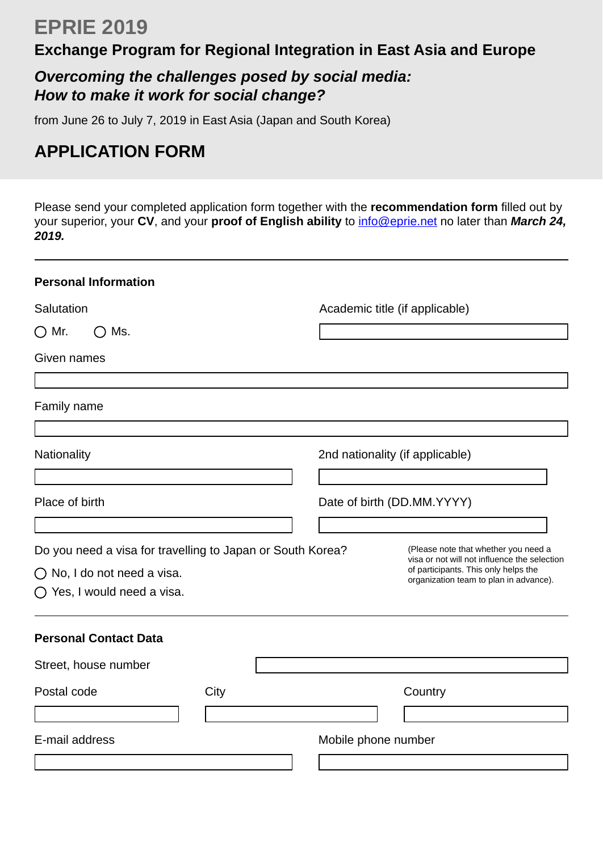# **EPRIE 2019**

## **Exchange Program for Regional Integration in East Asia and Europe**

## *Overcoming the challenges posed by social media: How to make it work for social change?*

from June 26 to July 7, 2019 in East Asia (Japan and South Korea)

## **APPLICATION FORM**

Please send your completed application form together with the **recommendation form** filled out by your superior, your CV, and your proof of English ability to **info@eprie.net** no later than *March 24, 2019.*

| <b>Personal Information</b>                                                                                                       |                                                                                                                                                                        |
|-----------------------------------------------------------------------------------------------------------------------------------|------------------------------------------------------------------------------------------------------------------------------------------------------------------------|
| Salutation                                                                                                                        | Academic title (if applicable)                                                                                                                                         |
| $\bigcirc$ Mr.<br>Ms.<br>( )                                                                                                      |                                                                                                                                                                        |
| Given names                                                                                                                       |                                                                                                                                                                        |
| Family name                                                                                                                       |                                                                                                                                                                        |
| Nationality                                                                                                                       | 2nd nationality (if applicable)                                                                                                                                        |
| Place of birth                                                                                                                    | Date of birth (DD.MM.YYYY)                                                                                                                                             |
| Do you need a visa for travelling to Japan or South Korea?<br>$\bigcirc$ No, I do not need a visa.<br>◯ Yes, I would need a visa. | (Please note that whether you need a<br>visa or not will not influence the selection<br>of participants. This only helps the<br>organization team to plan in advance). |
| <b>Personal Contact Data</b>                                                                                                      |                                                                                                                                                                        |
| Street, house number                                                                                                              |                                                                                                                                                                        |
| Postal code<br>City                                                                                                               | Country                                                                                                                                                                |
| E-mail address                                                                                                                    | Mobile phone number                                                                                                                                                    |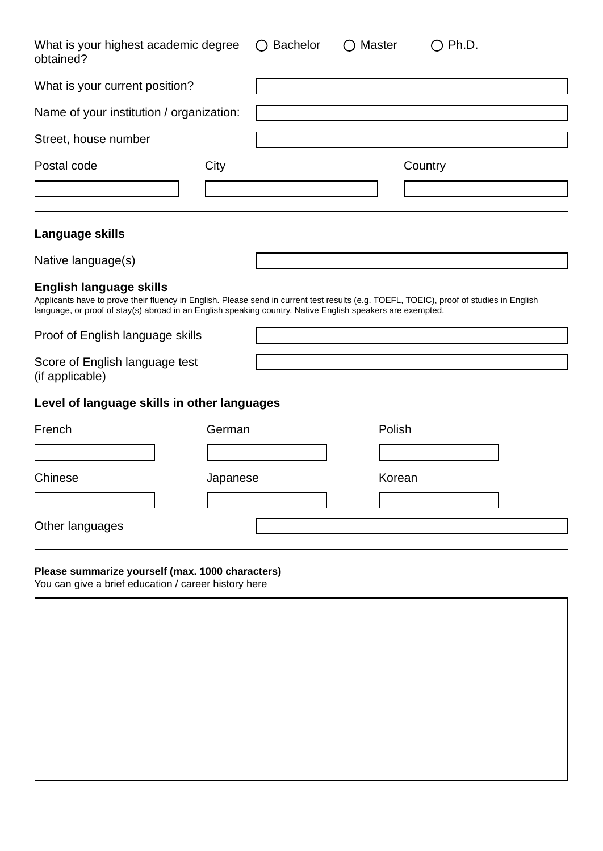| What is your highest academic degree<br>obtained?                                                                                                                                                                                                                                       |          | <b>Bachelor</b> | ◯ Master |        | $\bigcirc$ Ph.D. |
|-----------------------------------------------------------------------------------------------------------------------------------------------------------------------------------------------------------------------------------------------------------------------------------------|----------|-----------------|----------|--------|------------------|
| What is your current position?                                                                                                                                                                                                                                                          |          |                 |          |        |                  |
| Name of your institution / organization:                                                                                                                                                                                                                                                |          |                 |          |        |                  |
| Street, house number                                                                                                                                                                                                                                                                    |          |                 |          |        |                  |
| Postal code                                                                                                                                                                                                                                                                             | City     |                 |          |        | Country          |
| Language skills                                                                                                                                                                                                                                                                         |          |                 |          |        |                  |
| Native language(s)                                                                                                                                                                                                                                                                      |          |                 |          |        |                  |
| <b>English language skills</b><br>Applicants have to prove their fluency in English. Please send in current test results (e.g. TOEFL, TOEIC), proof of studies in English<br>language, or proof of stay(s) abroad in an English speaking country. Native English speakers are exempted. |          |                 |          |        |                  |
| Proof of English language skills                                                                                                                                                                                                                                                        |          |                 |          |        |                  |
| Score of English language test<br>(if applicable)                                                                                                                                                                                                                                       |          |                 |          |        |                  |
| Level of language skills in other languages                                                                                                                                                                                                                                             |          |                 |          |        |                  |
| French                                                                                                                                                                                                                                                                                  | German   |                 |          | Polish |                  |
| $\vert \bm{\nabla} \vert$                                                                                                                                                                                                                                                               |          |                 |          |        |                  |
| Chinese                                                                                                                                                                                                                                                                                 | Japanese |                 |          | Korean |                  |
|                                                                                                                                                                                                                                                                                         |          |                 |          |        |                  |
| Other languages                                                                                                                                                                                                                                                                         |          |                 |          |        |                  |
| Please summarize vourself (max. 1000 characters)                                                                                                                                                                                                                                        |          |                 |          |        |                  |

#### **Please summarize yourself (max. 1000 characters)**

| You can give a brief education / career history here<br>$\overline{\phantom{a}}$ |  |  |  |  |  |
|----------------------------------------------------------------------------------|--|--|--|--|--|
|                                                                                  |  |  |  |  |  |
|                                                                                  |  |  |  |  |  |
|                                                                                  |  |  |  |  |  |
|                                                                                  |  |  |  |  |  |
|                                                                                  |  |  |  |  |  |
|                                                                                  |  |  |  |  |  |
|                                                                                  |  |  |  |  |  |
|                                                                                  |  |  |  |  |  |
|                                                                                  |  |  |  |  |  |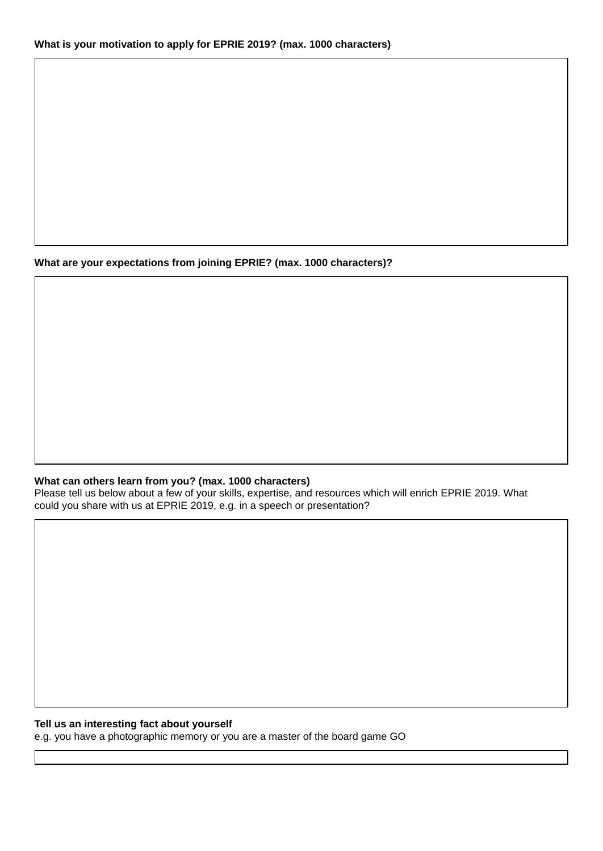#### **What are your expectations from joining EPRIE? (max. 1000 characters)?**

#### **What can others learn from you? (max. 1000 characters)**

Please tell us below about a few of your skills, expertise, and resources which will enrich EPRIE 2019. What could you share with us at EPRIE 2019, e.g. in a speech or presentation?

#### **Tell us an interesting fact about yourself**

e.g. you have a photographic memory or you are a master of the board game GO